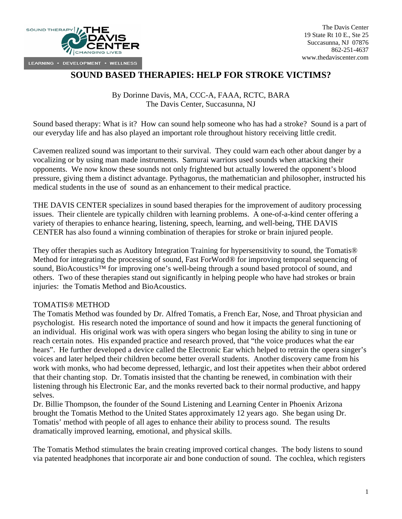

## **SOUND BASED THERAPIES: HELP FOR STROKE VICTIMS?**

By Dorinne Davis, MA, CCC-A, FAAA, RCTC, BARA The Davis Center, Succasunna, NJ

Sound based therapy: What is it? How can sound help someone who has had a stroke? Sound is a part of our everyday life and has also played an important role throughout history receiving little credit.

Cavemen realized sound was important to their survival. They could warn each other about danger by a vocalizing or by using man made instruments. Samurai warriors used sounds when attacking their opponents. We now know these sounds not only frightened but actually lowered the opponent's blood pressure, giving them a distinct advantage. Pythagorus, the mathematician and philosopher, instructed his medical students in the use of sound as an enhancement to their medical practice.

THE DAVIS CENTER specializes in sound based therapies for the improvement of auditory processing issues. Their clientele are typically children with learning problems. A one-of-a-kind center offering a variety of therapies to enhance hearing, listening, speech, learning, and well-being, THE DAVIS CENTER has also found a winning combination of therapies for stroke or brain injured people.

They offer therapies such as Auditory Integration Training for hypersensitivity to sound, the Tomatis® Method for integrating the processing of sound, Fast ForWord® for improving temporal sequencing of sound, BioAcoustics<sup>™</sup> for improving one's well-being through a sound based protocol of sound, and others. Two of these therapies stand out significantly in helping people who have had strokes or brain injuries: the Tomatis Method and BioAcoustics.

## TOMATIS® METHOD

The Tomatis Method was founded by Dr. Alfred Tomatis, a French Ear, Nose, and Throat physician and psychologist. His research noted the importance of sound and how it impacts the general functioning of an individual. His original work was with opera singers who began losing the ability to sing in tune or reach certain notes. His expanded practice and research proved, that "the voice produces what the ear hears". He further developed a device called the Electronic Ear which helped to retrain the opera singer's voices and later helped their children become better overall students. Another discovery came from his work with monks, who had become depressed, lethargic, and lost their appetites when their abbot ordered that their chanting stop. Dr. Tomatis insisted that the chanting be renewed, in combination with their listening through his Electronic Ear, and the monks reverted back to their normal productive, and happy selves.

Dr. Billie Thompson, the founder of the Sound Listening and Learning Center in Phoenix Arizona brought the Tomatis Method to the United States approximately 12 years ago. She began using Dr. Tomatis' method with people of all ages to enhance their ability to process sound. The results dramatically improved learning, emotional, and physical skills.

The Tomatis Method stimulates the brain creating improved cortical changes. The body listens to sound via patented headphones that incorporate air and bone conduction of sound. The cochlea, which registers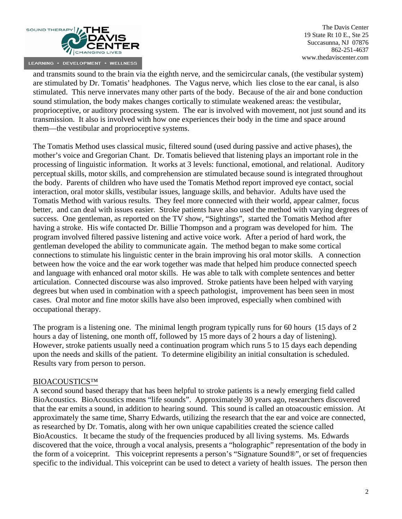

The Davis Center 19 State Rt 10 E., Ste 25 Succasunna, NJ 07876 862-251-4637 www.thedaviscenter.com

and transmits sound to the brain via the eighth nerve, and the semicircular canals, (the vestibular system) are stimulated by Dr. Tomatis' headphones. The Vagus nerve, which lies close to the ear canal, is also stimulated. This nerve innervates many other parts of the body. Because of the air and bone conduction sound stimulation, the body makes changes cortically to stimulate weakened areas: the vestibular, proprioceptive, or auditory processing system. The ear is involved with movement, not just sound and its transmission. It also is involved with how one experiences their body in the time and space around them—the vestibular and proprioceptive systems.

The Tomatis Method uses classical music, filtered sound (used during passive and active phases), the mother's voice and Gregorian Chant. Dr. Tomatis believed that listening plays an important role in the processing of linguistic information. It works at 3 levels: functional, emotional, and relational. Auditory perceptual skills, motor skills, and comprehension are stimulated because sound is integrated throughout the body. Parents of children who have used the Tomatis Method report improved eye contact, social interaction, oral motor skills, vestibular issues, language skills, and behavior. Adults have used the Tomatis Method with various results. They feel more connected with their world, appear calmer, focus better, and can deal with issues easier. Stroke patients have also used the method with varying degrees of success. One gentleman, as reported on the TV show, "Sightings", started the Tomatis Method after having a stroke. His wife contacted Dr. Billie Thompson and a program was developed for him. The program involved filtered passive listening and active voice work. After a period of hard work, the gentleman developed the ability to communicate again. The method began to make some cortical connections to stimulate his linguistic center in the brain improving his oral motor skills. A connection between how the voice and the ear work together was made that helped him produce connected speech and language with enhanced oral motor skills. He was able to talk with complete sentences and better articulation. Connected discourse was also improved. Stroke patients have been helped with varying degrees but when used in combination with a speech pathologist, improvement has been seen in most cases. Oral motor and fine motor skills have also been improved, especially when combined with occupational therapy.

The program is a listening one. The minimal length program typically runs for 60 hours (15 days of 2 hours a day of listening, one month off, followed by 15 more days of 2 hours a day of listening). However, stroke patients usually need a continuation program which runs 5 to 15 days each depending upon the needs and skills of the patient. To determine eligibility an initial consultation is scheduled. Results vary from person to person.

## BIOACOUSTICS™

A second sound based therapy that has been helpful to stroke patients is a newly emerging field called BioAcoustics. BioAcoustics means "life sounds". Approximately 30 years ago, researchers discovered that the ear emits a sound, in addition to hearing sound. This sound is called an otoacoustic emission. At approximately the same time, Sharry Edwards, utilizing the research that the ear and voice are connected, as researched by Dr. Tomatis, along with her own unique capabilities created the science called BioAcoustics. It became the study of the frequencies produced by all living systems. Ms. Edwards discovered that the voice, through a vocal analysis, presents a "holographic" representation of the body in the form of a voiceprint. This voiceprint represents a person's "Signature Sound®", or set of frequencies specific to the individual. This voiceprint can be used to detect a variety of health issues. The person then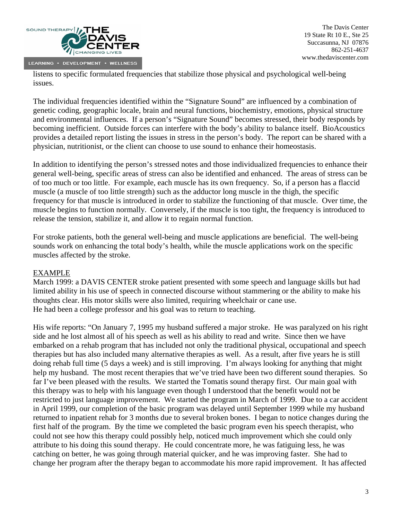

listens to specific formulated frequencies that stabilize those physical and psychological well-being issues.

The individual frequencies identified within the "Signature Sound" are influenced by a combination of genetic coding, geographic locale, brain and neural functions, biochemistry, emotions, physical structure and environmental influences. If a person's "Signature Sound" becomes stressed, their body responds by becoming inefficient. Outside forces can interfere with the body's ability to balance itself. BioAcoustics provides a detailed report listing the issues in stress in the person's body. The report can be shared with a physician, nutritionist, or the client can choose to use sound to enhance their homeostasis.

In addition to identifying the person's stressed notes and those individualized frequencies to enhance their general well-being, specific areas of stress can also be identified and enhanced. The areas of stress can be of too much or too little. For example, each muscle has its own frequency. So, if a person has a flaccid muscle (a muscle of too little strength) such as the adductor long muscle in the thigh, the specific frequency for that muscle is introduced in order to stabilize the functioning of that muscle. Over time, the muscle begins to function normally. Conversely, if the muscle is too tight, the frequency is introduced to release the tension, stabilize it, and allow it to regain normal function.

For stroke patients, both the general well-being and muscle applications are beneficial. The well-being sounds work on enhancing the total body's health, while the muscle applications work on the specific muscles affected by the stroke.

## EXAMPLE

March 1999: a DAVIS CENTER stroke patient presented with some speech and language skills but had limited ability in his use of speech in connected discourse without stammering or the ability to make his thoughts clear. His motor skills were also limited, requiring wheelchair or cane use. He had been a college professor and his goal was to return to teaching.

His wife reports: "On January 7, 1995 my husband suffered a major stroke. He was paralyzed on his right side and he lost almost all of his speech as well as his ability to read and write. Since then we have embarked on a rehab program that has included not only the traditional physical, occupational and speech therapies but has also included many alternative therapies as well. As a result, after five years he is still doing rehab full time (5 days a week) and is still improving. I'm always looking for anything that might help my husband. The most recent therapies that we've tried have been two different sound therapies. So far I've been pleased with the results. We started the Tomatis sound therapy first. Our main goal with this therapy was to help with his language even though I understood that the benefit would not be restricted to just language improvement. We started the program in March of 1999. Due to a car accident in April 1999, our completion of the basic program was delayed until September 1999 while my husband returned to inpatient rehab for 3 months due to several broken bones. I began to notice changes during the first half of the program. By the time we completed the basic program even his speech therapist, who could not see how this therapy could possibly help, noticed much improvement which she could only attribute to his doing this sound therapy. He could concentrate more, he was fatiguing less, he was catching on better, he was going through material quicker, and he was improving faster. She had to change her program after the therapy began to accommodate his more rapid improvement. It has affected